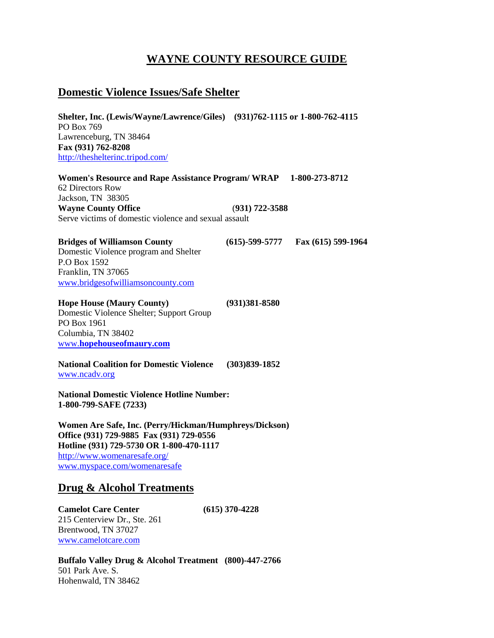# **WAYNE COUNTY RESOURCE GUIDE**

### **Domestic Violence Issues/Safe Shelter**

**Shelter, Inc. (Lewis/Wayne/Lawrence/Giles) (931)762-1115 or 1-800-762-4115** PO Box 769 Lawrenceburg, TN 38464 **Fax (931) 762-8208** <http://theshelterinc.tripod.com/>

**Women's Resource and Rape Assistance Program/ WRAP 1-800-273-8712** 62 Directors Row Jackson, TN 38305 **Wayne County Office** (**931) 722-3588** Serve victims of domestic violence and sexual assault

**Bridges of Williamson County (615)-599-5777 Fax (615) 599-1964** Domestic Violence program and Shelter P.O Box 1592 Franklin, TN 37065 [www.bridgesofwilliamsoncounty.com](http://www.bridgesofwilliamsoncounty.com/)

**Hope House (Maury County) (931)381-8580** Domestic Violence Shelter; Support Group PO Box 1961 Columbia, TN 38402 www.**[hopehouseofmaury.com](http://www.hopehouseofmaury.com/)**

**National Coalition for Domestic Violence (303)839-1852** [www.ncadv.org](http://www.ncadv.org/)

**National Domestic Violence Hotline Number: 1-800-799-SAFE (7233)**

**Women Are Safe, Inc. (Perry/Hickman/Humphreys/Dickson) Office (931) 729-9885 Fax (931) 729-0556 Hotline (931) 729-5730 OR 1-800-470-1117** <http://www.womenaresafe.org/> [www.myspace.com/womenaresafe](http://www.myspace.com/womenaresafe)

### **Drug & Alcohol Treatments**

**Camelot Care Center (615) 370-4228** 215 Centerview Dr., Ste. 261 Brentwood, TN 37027 [www.camelotcare.com](http://www.camelotcare.com/)

**Buffalo Valley Drug & Alcohol Treatment (800)-447-2766** 501 Park Ave. S. Hohenwald, TN 38462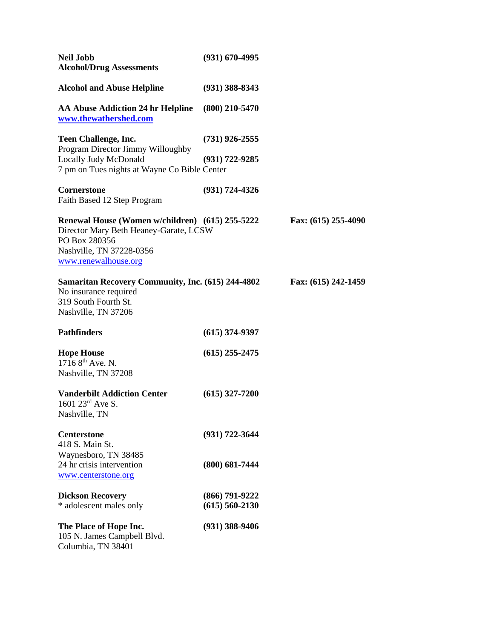| <b>Neil Jobb</b><br><b>Alcohol/Drug Assessments</b>                                                                                                            | $(931)$ 670-4995                         |                     |
|----------------------------------------------------------------------------------------------------------------------------------------------------------------|------------------------------------------|---------------------|
| <b>Alcohol and Abuse Helpline</b>                                                                                                                              | $(931)$ 388-8343                         |                     |
| <b>AA Abuse Addiction 24 hr Helpline</b><br>www.thewathershed.com                                                                                              | $(800)$ 210-5470                         |                     |
| <b>Teen Challenge, Inc.</b><br>Program Director Jimmy Willoughby                                                                                               | $(731)$ 926-2555                         |                     |
| <b>Locally Judy McDonald</b><br>7 pm on Tues nights at Wayne Co Bible Center                                                                                   | $(931) 722 - 9285$                       |                     |
| <b>Cornerstone</b><br>Faith Based 12 Step Program                                                                                                              | $(931) 724 - 4326$                       |                     |
| Renewal House (Women w/children) (615) 255-5222<br>Director Mary Beth Heaney-Garate, LCSW<br>PO Box 280356<br>Nashville, TN 37228-0356<br>www.renewalhouse.org |                                          | Fax: (615) 255-4090 |
| <b>Samaritan Recovery Community, Inc. (615) 244-4802</b><br>No insurance required<br>319 South Fourth St.<br>Nashville, TN 37206                               |                                          | Fax: (615) 242-1459 |
| <b>Pathfinders</b>                                                                                                                                             | $(615)$ 374-9397                         |                     |
| <b>Hope House</b><br>1716 8 <sup>th</sup> Ave. N.<br>Nashville, TN 37208                                                                                       | $(615)$ 255-2475                         |                     |
| <b>Vanderbilt Addiction Center</b><br>1601 23rd Ave S.<br>Nashville, TN                                                                                        | $(615)$ 327-7200                         |                     |
| <b>Centerstone</b><br>418 S. Main St.<br>Waynesboro, TN 38485                                                                                                  | $(931) 722 - 3644$                       |                     |
| 24 hr crisis intervention<br>www.centerstone.org                                                                                                               | $(800)$ 681-7444                         |                     |
| <b>Dickson Recovery</b><br>* adolescent males only                                                                                                             | $(866) 791 - 9222$<br>$(615) 560 - 2130$ |                     |
| The Place of Hope Inc.<br>105 N. James Campbell Blvd.<br>Columbia, TN 38401                                                                                    | $(931)$ 388-9406                         |                     |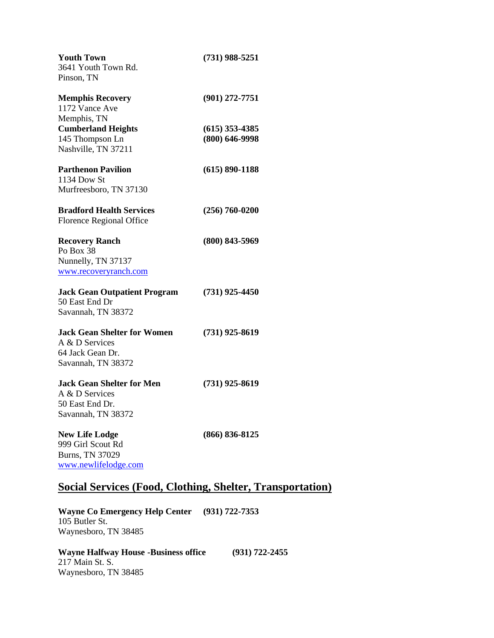| <b>Youth Town</b>                   | $(731)$ 988-5251   |
|-------------------------------------|--------------------|
| 3641 Youth Town Rd.                 |                    |
| Pinson, TN                          |                    |
| <b>Memphis Recovery</b>             | $(901)$ 272-7751   |
| 1172 Vance Ave                      |                    |
| Memphis, TN                         |                    |
| <b>Cumberland Heights</b>           | $(615)$ 353-4385   |
| 145 Thompson Ln                     | $(800)$ 646-9998   |
| Nashville, TN 37211                 |                    |
| <b>Parthenon Pavilion</b>           | $(615) 890 - 1188$ |
| 1134 Dow St                         |                    |
| Murfreesboro, TN 37130              |                    |
| <b>Bradford Health Services</b>     | $(256) 760 - 0200$ |
| <b>Florence Regional Office</b>     |                    |
| <b>Recovery Ranch</b>               | $(800) 843 - 5969$ |
| Po Box 38                           |                    |
| Nunnelly, TN 37137                  |                    |
| www.recoveryranch.com               |                    |
| <b>Jack Gean Outpatient Program</b> | $(731)$ 925-4450   |
| 50 East End Dr                      |                    |
| Savannah, TN 38372                  |                    |
| <b>Jack Gean Shelter for Women</b>  | $(731)$ 925-8619   |
| A & D Services                      |                    |
| 64 Jack Gean Dr.                    |                    |
| Savannah, TN 38372                  |                    |
| Jack Gean Shelter for Men.          | $(731)$ 925-8619   |
| A & D Services                      |                    |
| 50 East End Dr.                     |                    |
| Savannah, TN 38372                  |                    |
| <b>New Life Lodge</b>               | $(866) 836 - 8125$ |
| 999 Girl Scout Rd                   |                    |
| Burns, TN 37029                     |                    |
| www.newlifelodge.com                |                    |

# **Social Services (Food, Clothing, Shelter, Transportation)**

**Wayne Co Emergency Help Center (931) 722-7353** 105 Butler St. Waynesboro, TN 38485

**Wayne Halfway House -Business office (931) 722-2455** 217 Main St. S. Waynesboro, TN 38485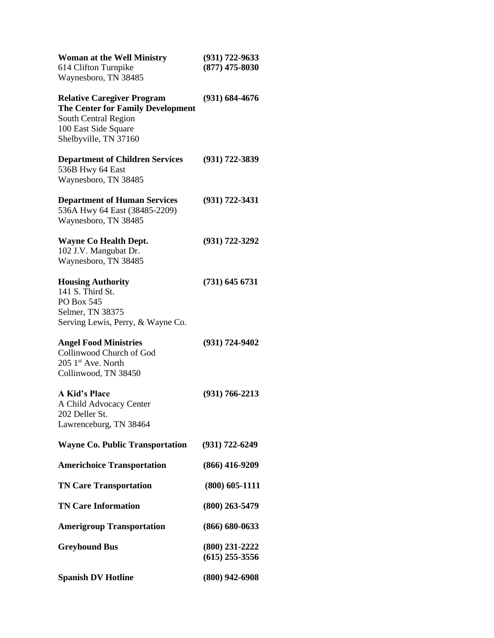| <b>Woman at the Well Ministry</b><br>614 Clifton Turnpike<br>Waynesboro, TN 38485                                                                      | $(931) 722 - 9633$<br>$(877)$ 475-8030 |
|--------------------------------------------------------------------------------------------------------------------------------------------------------|----------------------------------------|
| <b>Relative Caregiver Program</b><br><b>The Center for Family Development</b><br>South Central Region<br>100 East Side Square<br>Shelbyville, TN 37160 | $(931) 684 - 4676$                     |
| <b>Department of Children Services</b><br>536B Hwy 64 East<br>Waynesboro, TN 38485                                                                     | $(931) 722 - 3839$                     |
| <b>Department of Human Services</b><br>536A Hwy 64 East (38485-2209)<br>Waynesboro, TN 38485                                                           | $(931) 722 - 3431$                     |
| <b>Wayne Co Health Dept.</b><br>102 J.V. Mangubat Dr.<br>Waynesboro, TN 38485                                                                          | $(931) 722 - 3292$                     |
| <b>Housing Authority</b><br>141 S. Third St.<br>PO Box 545<br>Selmer, TN 38375<br>Serving Lewis, Perry, & Wayne Co.                                    | $(731)$ 645 6731                       |
| <b>Angel Food Ministries</b><br>Collinwood Church of God<br>$205$ 1 <sup>st</sup> Ave. North<br>Collinwood, TN 38450                                   | (931) 724-9402                         |
| <b>A Kid's Place</b><br>A Child Advocacy Center<br>202 Deller St.<br>Lawrenceburg, TN 38464                                                            | $(931) 766 - 2213$                     |
| <b>Wayne Co. Public Transportation</b>                                                                                                                 | $(931) 722 - 6249$                     |
| <b>Americhoice Transportation</b>                                                                                                                      | $(866)$ 416-9209                       |
| <b>TN Care Transportation</b>                                                                                                                          | $(800)$ 605-1111                       |
| <b>TN Care Information</b>                                                                                                                             | $(800)$ 263-5479                       |
| <b>Amerigroup Transportation</b>                                                                                                                       | $(866) 680 - 0633$                     |
| <b>Greyhound Bus</b>                                                                                                                                   | (800) 231-2222<br>$(615)$ 255-3556     |
| <b>Spanish DV Hotline</b>                                                                                                                              | $(800)$ 942-6908                       |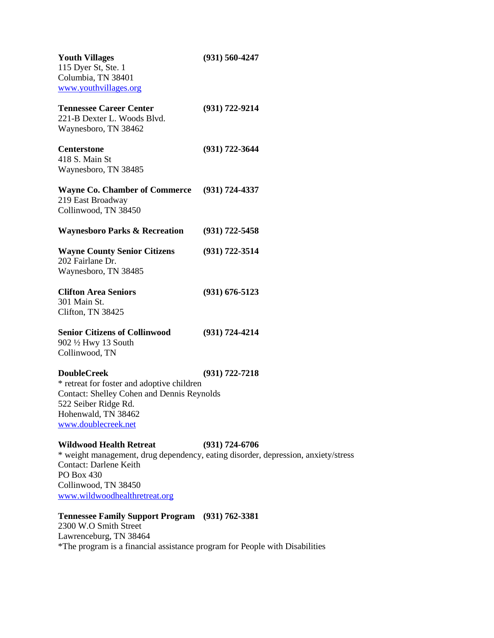| <b>Youth Villages</b><br>115 Dyer St, Ste. 1<br>Columbia, TN 38401<br>www.youthvillages.org                                                                                                 | $(931) 560 - 4247$                                                                                      |
|---------------------------------------------------------------------------------------------------------------------------------------------------------------------------------------------|---------------------------------------------------------------------------------------------------------|
| <b>Tennessee Career Center</b><br>221-B Dexter L. Woods Blvd.<br>Waynesboro, TN 38462                                                                                                       | $(931) 722 - 9214$                                                                                      |
| <b>Centerstone</b><br>418 S. Main St<br>Waynesboro, TN 38485                                                                                                                                | $(931) 722 - 3644$                                                                                      |
| <b>Wayne Co. Chamber of Commerce</b><br>219 East Broadway<br>Collinwood, TN 38450                                                                                                           | $(931) 724 - 4337$                                                                                      |
| <b>Waynesboro Parks &amp; Recreation</b>                                                                                                                                                    | $(931) 722 - 5458$                                                                                      |
| <b>Wayne County Senior Citizens</b><br>202 Fairlane Dr.<br>Waynesboro, TN 38485                                                                                                             | $(931) 722 - 3514$                                                                                      |
| <b>Clifton Area Seniors</b><br>301 Main St.<br>Clifton, TN 38425                                                                                                                            | $(931) 676 - 5123$                                                                                      |
| <b>Senior Citizens of Collinwood</b><br>902 1/2 Hwy 13 South<br>Collinwood, TN                                                                                                              | $(931) 724 - 4214$                                                                                      |
| <b>DoubleCreek</b><br>* retreat for foster and adoptive children<br><b>Contact: Shelley Cohen and Dennis Reynolds</b><br>522 Seiber Ridge Rd.<br>Hohenwald, TN 38462<br>www.doublecreek.net | $(931) 722 - 7218$                                                                                      |
| <b>Wildwood Health Retreat</b><br><b>Contact: Darlene Keith</b><br>PO Box 430<br>Collinwood, TN 38450                                                                                       | $(931) 724 - 6706$<br>* weight management, drug dependency, eating disorder, depression, anxiety/stress |

[www.wildwoodhealthretreat.org](http://www.wildwoodhealthretreat.org/)

# **Tennessee Family Support Program (931) 762-3381**

2300 W.O Smith Street Lawrenceburg, TN 38464 \*The program is a financial assistance program for People with Disabilities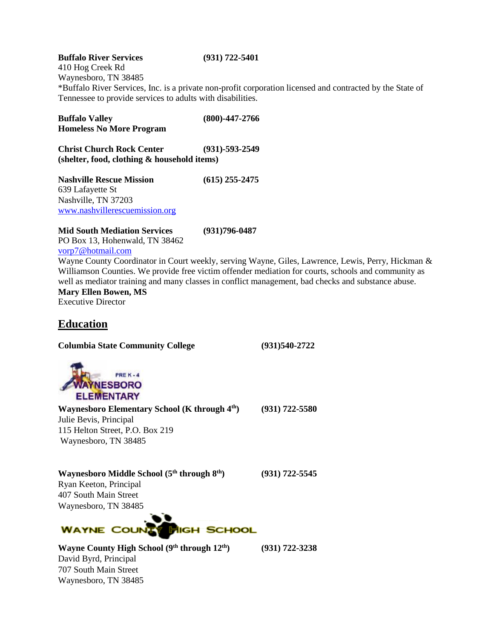**Buffalo River Services (931) 722-5401** 410 Hog Creek Rd Waynesboro, TN 38485 \*Buffalo River Services, Inc. is a private non-profit corporation licensed and contracted by the State of Tennessee to provide services to adults with disabilities.

**Buffalo Valley (800)-447-2766 Homeless No More Program Christ Church Rock Center (931)-593-2549 (shelter, food, clothing & household items) Nashville Rescue Mission (615) 255-2475** 639 Lafayette St Nashville, TN 37203 [www.nashvillerescuemission.org](http://www.nashvillerescuemission.org/)

**Mid South Mediation Services (931)796-0487** PO Box 13, Hohenwald, TN 38462 [vorp7@hotmail.com](mailto:vorp7@hotmail.com)

Wayne County Coordinator in Court weekly, serving Wayne, Giles, Lawrence, Lewis, Perry, Hickman & Williamson Counties. We provide free victim offender mediation for courts, schools and community as well as mediator training and many classes in conflict management, bad checks and substance abuse. **Mary Ellen Bowen, MS**

Executive Director

## **Education**

**Columbia State Community College (931)540-2722** 



**Waynesboro Elementary School (K through 4th) (931) 722-5580** Julie Bevis, Principal 115 Helton Street, P.O. Box 219 Waynesboro, TN 38485

**Waynesboro Middle School (5th through 8th) (931) 722-5545** 

Ryan Keeton, Principal 407 South Main Street Waynesboro, TN 38485



**Wayne County High School (9th through 12th) (931) 722-3238**  David Byrd, Principal 707 South Main Street Waynesboro, TN 38485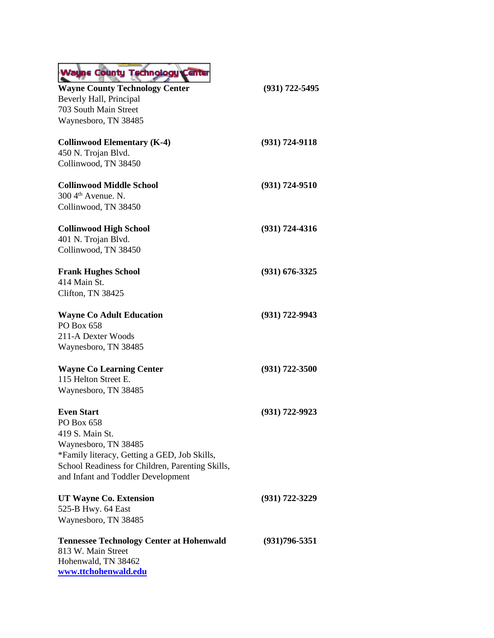| <b>Wayne County Technology Center</b>            |                    |
|--------------------------------------------------|--------------------|
| <b>Wayne County Technology Center</b>            | $(931)$ 722-5495   |
| Beverly Hall, Principal                          |                    |
| 703 South Main Street                            |                    |
| Waynesboro, TN 38485                             |                    |
| <b>Collinwood Elementary (K-4)</b>               | $(931) 724 - 9118$ |
| 450 N. Trojan Blvd.                              |                    |
| Collinwood, TN 38450                             |                    |
| <b>Collinwood Middle School</b>                  | $(931) 724 - 9510$ |
| 300 4 <sup>th</sup> Avenue. N.                   |                    |
| Collinwood, TN 38450                             |                    |
| <b>Collinwood High School</b>                    | $(931) 724 - 4316$ |
| 401 N. Trojan Blvd.                              |                    |
| Collinwood, TN 38450                             |                    |
| <b>Frank Hughes School</b>                       | $(931) 676 - 3325$ |
| 414 Main St.                                     |                    |
| Clifton, TN 38425                                |                    |
| <b>Wayne Co Adult Education</b>                  | $(931) 722 - 9943$ |
| PO Box 658                                       |                    |
| 211-A Dexter Woods                               |                    |
| Waynesboro, TN 38485                             |                    |
| <b>Wayne Co Learning Center</b>                  | $(931) 722 - 3500$ |
| 115 Helton Street E.                             |                    |
| Waynesboro, TN 38485                             |                    |
| <b>Even Start</b>                                | $(931) 722 - 9923$ |
| PO Box 658                                       |                    |
| 419 S. Main St.                                  |                    |
| Waynesboro, TN 38485                             |                    |
| *Family literacy, Getting a GED, Job Skills,     |                    |
| School Readiness for Children, Parenting Skills, |                    |
| and Infant and Toddler Development               |                    |
| UT Wayne Co. Extension                           | (931) 722-3229     |
| 525-B Hwy. 64 East                               |                    |
| Waynesboro, TN 38485                             |                    |
| <b>Tennessee Technology Center at Hohenwald</b>  | $(931)796 - 5351$  |
| 813 W. Main Street                               |                    |
| Hohenwald, TN 38462<br>www.ttchohenwald.edu      |                    |
|                                                  |                    |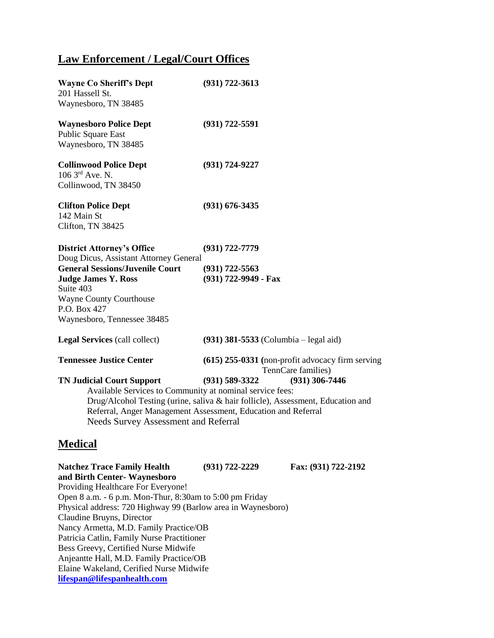# **Law Enforcement / Legal/Court Offices**

| <b>Wayne Co Sheriff's Dept</b><br>201 Hassell St.<br>Waynesboro, TN 38485                                                                                                                                          | $(931) 722 - 3613$                                                                                                                                                                                                                                                   |
|--------------------------------------------------------------------------------------------------------------------------------------------------------------------------------------------------------------------|----------------------------------------------------------------------------------------------------------------------------------------------------------------------------------------------------------------------------------------------------------------------|
| <b>Waynesboro Police Dept</b><br>Public Square East<br>Waynesboro, TN 38485                                                                                                                                        | $(931) 722 - 5591$                                                                                                                                                                                                                                                   |
| <b>Collinwood Police Dept</b><br>106 3rd Ave. N.<br>Collinwood, TN 38450                                                                                                                                           | (931) 724-9227                                                                                                                                                                                                                                                       |
| <b>Clifton Police Dept</b><br>142 Main St<br>Clifton, TN 38425                                                                                                                                                     | $(931)$ 676-3435                                                                                                                                                                                                                                                     |
| <b>District Attorney's Office</b><br>Doug Dicus, Assistant Attorney General<br><b>General Sessions/Juvenile Court</b><br><b>Judge James Y. Ross</b><br>Suite 403<br><b>Wayne County Courthouse</b><br>P.O. Box 427 | $(931) 722 - 7779$<br>$(931)$ 722-5563<br>(931) 722-9949 - Fax                                                                                                                                                                                                       |
| Waynesboro, Tennessee 38485<br><b>Legal Services</b> (call collect)                                                                                                                                                | $(931)$ 381-5533 (Columbia – legal aid)                                                                                                                                                                                                                              |
| <b>Tennessee Justice Center</b><br><b>TN Judicial Court Support</b><br>Available Services to Community at nominal service fees:<br><b>Needs Survey Assessment and Referral</b>                                     | (615) 255-0331 (non-profit advocacy firm serving<br>TennCare families)<br>$(931)$ 306-7446<br>$(931) 589 - 3322$<br>Drug/Alcohol Testing (urine, saliva & hair follicle), Assessment, Education and<br>Referral, Anger Management Assessment, Education and Referral |
| <b>Medical</b>                                                                                                                                                                                                     |                                                                                                                                                                                                                                                                      |

**Natchez Trace Family Health (931) 722-2229 Fax: (931) 722-2192 and Birth Center- Waynesboro** Providing Healthcare For Everyone! Open 8 a.m. - 6 p.m. Mon-Thur, 8:30am to 5:00 pm Friday Physical address: 720 Highway 99 (Barlow area in Waynesboro) Claudine Bruyns, Director Nancy Armetta, M.D. Family Practice/OB Patricia Catlin, Family Nurse Practitioner Bess Greevy, Certified Nurse Midwife Anjeantte Hall, M.D. Family Practice/OB Elaine Wakeland, Cerified Nurse Midwife **[lifespan@lifespanhealth.com](http://www.natcheztracematernitycenter.org/)**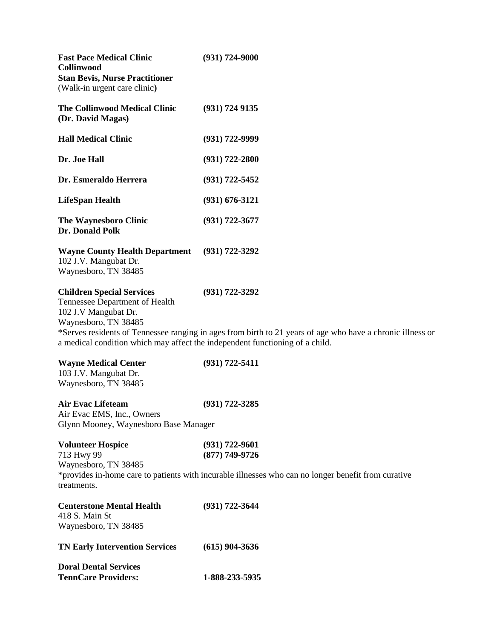| <b>Doral Dental Services</b><br><b>TennCare Providers:</b>                                                                                                                                         | 1-888-233-5935                                                                                                                   |
|----------------------------------------------------------------------------------------------------------------------------------------------------------------------------------------------------|----------------------------------------------------------------------------------------------------------------------------------|
| <b>TN Early Intervention Services</b>                                                                                                                                                              | $(615)$ 904-3636                                                                                                                 |
| 418 S. Main St<br>Waynesboro, TN 38485                                                                                                                                                             |                                                                                                                                  |
| <b>Centerstone Mental Health</b>                                                                                                                                                                   | $(931) 722 - 3644$                                                                                                               |
| Waynesboro, TN 38485<br>treatments.                                                                                                                                                                | *provides in-home care to patients with incurable illnesses who can no longer benefit from curative                              |
| 713 Hwy 99                                                                                                                                                                                         | $(877)$ 749-9726                                                                                                                 |
| <b>Volunteer Hospice</b>                                                                                                                                                                           | $(931) 722 - 9601$                                                                                                               |
| Glynn Mooney, Waynesboro Base Manager                                                                                                                                                              |                                                                                                                                  |
| <b>Air Evac Lifeteam</b><br>Air Evac EMS, Inc., Owners                                                                                                                                             | $(931) 722 - 3285$                                                                                                               |
| <b>Wayne Medical Center</b><br>103 J.V. Mangubat Dr.<br>Waynesboro, TN 38485                                                                                                                       | $(931) 722 - 5411$                                                                                                               |
| <b>Children Special Services</b><br>Tennessee Department of Health<br>102 J.V Mangubat Dr.<br>Waynesboro, TN 38485<br>a medical condition which may affect the independent functioning of a child. | $(931) 722 - 3292$<br>*Serves residents of Tennessee ranging in ages from birth to 21 years of age who have a chronic illness or |
| <b>Wayne County Health Department</b><br>102 J.V. Mangubat Dr.<br>Waynesboro, TN 38485                                                                                                             | $(931) 722 - 3292$                                                                                                               |
| <b>The Waynesboro Clinic</b><br>Dr. Donald Polk                                                                                                                                                    | $(931) 722 - 3677$                                                                                                               |
| <b>LifeSpan Health</b>                                                                                                                                                                             | $(931) 676 - 3121$                                                                                                               |
| Dr. Esmeraldo Herrera                                                                                                                                                                              | $(931) 722 - 5452$                                                                                                               |
| Dr. Joe Hall                                                                                                                                                                                       | $(931) 722 - 2800$                                                                                                               |
| <b>Hall Medical Clinic</b>                                                                                                                                                                         | $(931) 722 - 9999$                                                                                                               |
| <b>The Collinwood Medical Clinic</b><br>(Dr. David Magas)                                                                                                                                          | $(931)$ 724 9135                                                                                                                 |
| <b>Fast Pace Medical Clinic</b><br><b>Collinwood</b><br><b>Stan Bevis, Nurse Practitioner</b><br>(Walk-in urgent care clinic)                                                                      | $(931) 724 - 9000$                                                                                                               |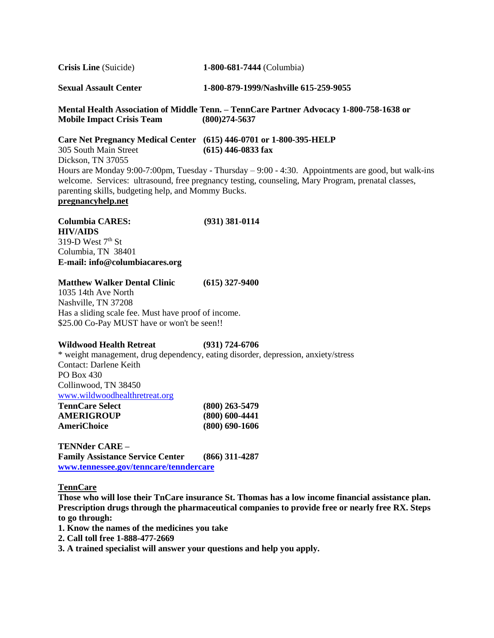**Crisis Line** (Suicide) **1-800-681-7444** (Columbia)

**Sexual Assault Center 1-800-879-1999/Nashville 615-259-9055** 

**Mental Health Association of Middle Tenn. – TennCare Partner Advocacy 1-800-758-1638 or Mobile Impact Crisis Team (800)274-5637**

**Care Net Pregnancy Medical Center (615) 446-0701 or 1-800-395-HELP** 305 South Main Street **(615) 446-0833 fax** Dickson, TN 37055 Hours are Monday 9:00-7:00pm, Tuesday - Thursday – 9:00 - 4:30. Appointments are good, but walk-ins welcome. Services: ultrasound, free pregnancy testing, counseling, Mary Program, prenatal classes, parenting skills, budgeting help, and Mommy Bucks. **pregnancyhelp.net**

**Columbia CARES: (931) 381-0114 HIV/AIDS** 319-D West  $7<sup>th</sup>$  St Columbia, TN 38401 **E-mail: info@columbiacares.org**

#### **Matthew Walker Dental Clinic (615) 327-9400**

1035 14th Ave North Nashville, TN 37208 Has a sliding scale fee. Must have proof of income. \$25.00 Co-Pay MUST have or won't be seen!!

#### **Wildwood Health Retreat (931) 724-6706**

\* weight management, drug dependency, eating disorder, depression, anxiety/stress Contact: Darlene Keith PO Box 430 Collinwood, TN 38450 [www.wildwoodhealthretreat.org](http://www.wildwoodhealthretreat.org/) **TennCare Select (800) 263-5479 AMERIGROUP (800) 600-4441 AmeriChoice (800) 690-1606**

**TENNder CARE – Family Assistance Service Center (866) 311-4287**

**[www.tennessee.gov/tenncare/tenndercare](http://www.tennessee.gov/tenncare/tenndercare)**

**TennCare**

**Those who will lose their TnCare insurance St. Thomas has a low income financial assistance plan. Prescription drugs through the pharmaceutical companies to provide free or nearly free RX. Steps to go through:** 

- **1. Know the names of the medicines you take**
- **2. Call toll free 1-888-477-2669**
- **3. A trained specialist will answer your questions and help you apply.**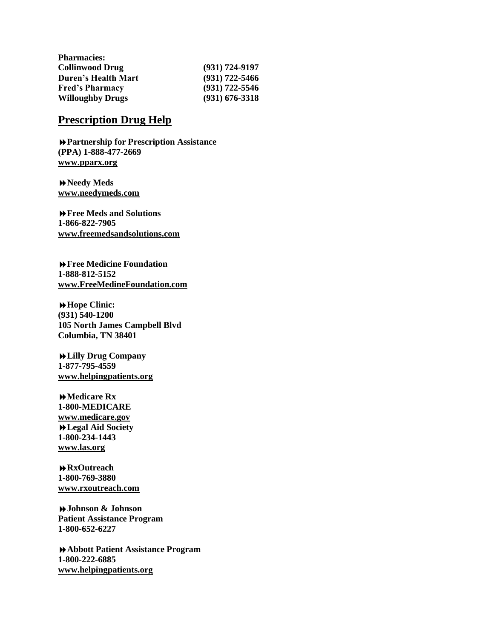| $(931) 724 - 9197$ |
|--------------------|
| $(931)$ 722-5466   |
| $(931)$ 722-5546   |
| $(931) 676 - 3318$ |
|                    |

## **Prescription Drug Help**

**Partnership for Prescription Assistance (PPA) 1-888-477-2669 [www.pparx.org](http://www.pparx.org/)**

**Needy Meds [www.needymeds.com](http://www.needymeds.com/)**

**Free Meds and Solutions 1-866-822-7905 [www.freemedsandsolutions.com](http://www.freemedsandsolutions.com/)**

**Free Medicine Foundation 1-888-812-5152 [www.FreeMedineFoundation.com](http://www.freemedine.com/)**

**Hope Clinic: (931) 540-1200 105 North James Campbell Blvd Columbia, TN 38401**

**Lilly Drug Company 1-877-795-4559 [www.helpingpatients.org](http://www.helpingpatients.org/)**

**Medicare Rx 1-800-MEDICARE [www.medicare.gov](http://www.medicare.gov/) Legal Aid Society 1-800-234-1443 [www.las.org](http://www.las.org/)**

**RxOutreach 1-800-769-3880 [www.rxoutreach.com](http://www.rxoutreach.com/)**

**Johnson & Johnson Patient Assistance Program 1-800-652-6227**

**Abbott Patient Assistance Program 1-800-222-6885 [www.helpingpatients.o](http://www.helpingpatients.com/)rg**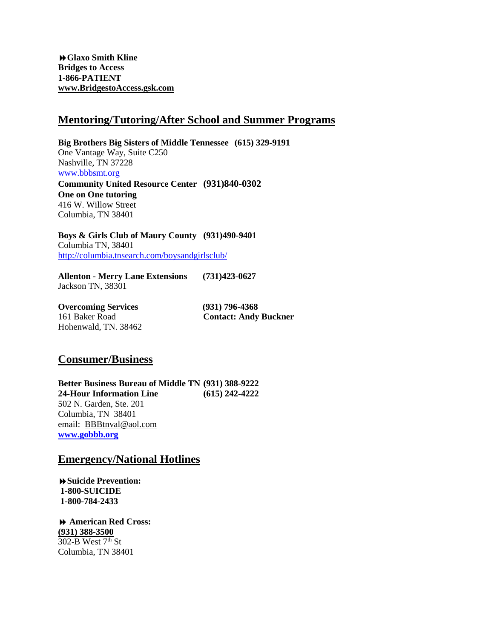**Glaxo Smith Kline Bridges to Access 1-866-PATIENT [www.BridgestoAccess.gsk.com](http://www.bridgestoaccess.gsk.com/)**

### **Mentoring/Tutoring/After School and Summer Programs**

**Big Brothers Big Sisters of Middle Tennessee (615) 329-9191** One Vantage Way, Suite C250 Nashville, TN 37228 [www.bbbsmt.org](http://www.bbbsmt.org/) **Community United Resource Center (931)840-0302**

**One on One tutoring** 416 W. Willow Street Columbia, TN 38401

**Boys & Girls Club of Maury County (931)490-9401** Columbia TN, 38401 <http://columbia.tnsearch.com/boysandgirlsclub/>

**Allenton - Merry Lane Extensions (731)423-0627** Jackson TN, 38301

**Overcoming Services (931) 796-4368** Hohenwald, TN. 38462

161 Baker Road **Contact: Andy Buckner**

### **Consumer/Business**

**Better Business Bureau of Middle TN (931) 388-9222 24-Hour Information Line (615) 242-4222** 502 N. Garden, Ste. 201 Columbia, TN 38401 email: [BBBtnval@aol.com](mailto:BBBtnval@aol.com) **[www.gobbb.org](http://www.gobbb.org/)**

### **Emergency/National Hotlines**

**Suicide Prevention: 1-800-SUICIDE 1-800-784-2433**

 **American Red Cross: (931) 388-3500**  $302-B$  West  $7<sup>th</sup>$  St Columbia, TN 38401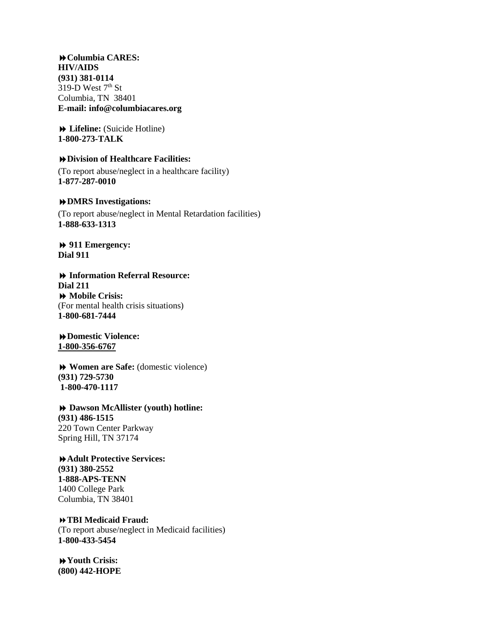**Columbia CARES: HIV/AIDS (931) 381-0114** 319-D West  $7<sup>th</sup>$  St Columbia, TN 38401 **E-mail: info@columbiacares.org**

 **Lifeline:** (Suicide Hotline) **1-800-273-TALK**

#### **Division of Healthcare Facilities:**

(To report abuse/neglect in a healthcare facility) **1-877-287-0010**

#### **DMRS Investigations:**

(To report abuse/neglect in Mental Retardation facilities) **1-888-633-1313**

### **911 Emergency: Dial 911**

### **Information Referral Resource: Dial 211 Mobile Crisis:** (For mental health crisis situations) **1-800-681-7444**

### **Domestic Violence: 1-800-356-6767**

 **Women are Safe:** (domestic violence) **(931) 729-5730 1-800-470-1117**

### **Dawson McAllister (youth) hotline: (931) 486-1515** 220 Town Center Parkway Spring Hill, TN 37174

### **Adult Protective Services: (931) 380-2552 1-888-APS-TENN** 1400 College Park

**TBI Medicaid Fraud:**

Columbia, TN 38401

(To report abuse/neglect in Medicaid facilities) **1-800-433-5454**

**Youth Crisis: (800) 442-HOPE**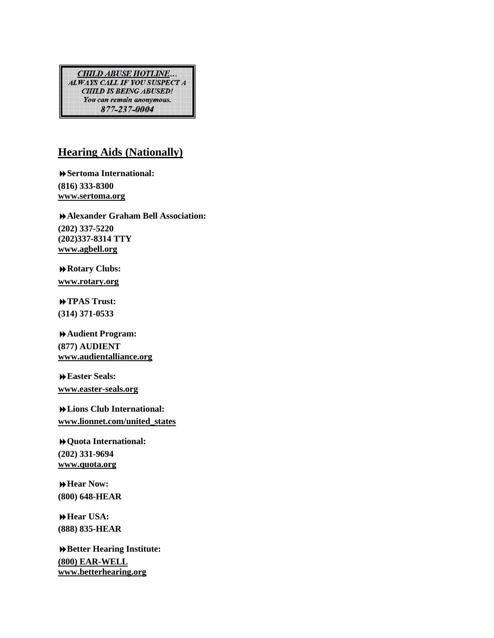**CHILD ABUSE HOTLINE...** ALWAYS CALL IF YOU SUSPECT A **CHILD IS BEING ABUSED!** You can remain anonymous. 877-237-0004

# **Hearing Aids (Nationally)**

**Sertoma International: (816) 333-8300 [www.sertoma.org](http://www.easter-seals.org/)**

**Alexander Graham Bell Association: (202) 337-5220 (202)337-8314 TTY [www.agbell.org](http://www.audientalliance.org/)**

**Rotary Clubs: [www.rotary.org](http://www.audientalliance.org/)**

**TPAS Trust: (314) 371-0533**

**Audient Program: (877) AUDIENT [www.audientalliance.org](http://www.audientalliance.org/)**

**Easter Seals: [www.easter-seals.org](http://www.easter-seals.org/)**

**Lions Club International: [www.lionnet.com/united\\_states](http://www.lionnet.com/united_states)**

**Quota International: (202) 331-9694 [www.quota.org](http://www.easter-seals.org/)**

**Hear Now: (800) 648-HEAR**

**Hear USA: (888) 835-HEAR**

**Better Hearing Institute: (800) EAR-WELL [www.betterhearing.org](http://www.audientalliance.org/)**